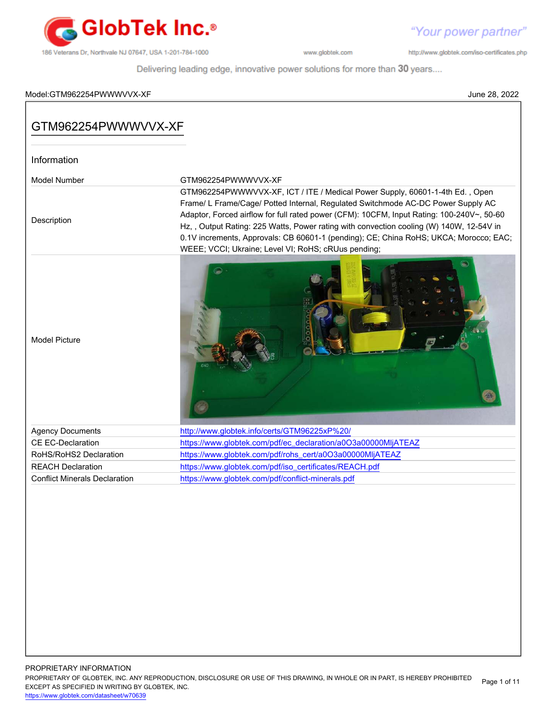

http://www.globtek.com/iso-certificates.php

Delivering leading edge, innovative power solutions for more than 30 years....

#### Model:GTM962254PWWWVVX-XF June 28, 2022

# PROPRIETARY INFORMATION GTM962254PWWWVVX-XF Information Model Number GTM962254PWWWVVX-XF Description GTM962254PWWWVVX-XF, ICT / ITE / Medical Power Supply, 60601-1-4th Ed. , Open Frame/ L Frame/Cage/ Potted Internal, Regulated Switchmode AC-DC Power Supply AC Adaptor, Forced airflow for full rated power (CFM): 10CFM, Input Rating: 100-240V~, 50-60 Hz, , Output Rating: 225 Watts, Power rating with convection cooling (W) 140W, 12-54V in 0.1V increments, Approvals: CB 60601-1 (pending); CE; China RoHS; UKCA; Morocco; EAC; WEEE; VCCI; Ukraine; Level VI; RoHS; cRUus pending; Model Picture Agency Documents <http://www.globtek.info/certs/GTM96225xP%20/> CE EC-Declaration [https://www.globtek.com/pdf/ec\\_declaration/a0O3a00000MljATEAZ](https://www.globtek.com/pdf/ec_declaration/a0O3a00000MljATEAZ) RoHS/RoHS2 Declaration [https://www.globtek.com/pdf/rohs\\_cert/a0O3a00000MljATEAZ](https://www.globtek.com/pdf/rohs_cert/a0O3a00000MljATEAZ) REACH Declaration [https://www.globtek.com/pdf/iso\\_certificates/REACH.pdf](https://www.globtek.com/pdf/iso_certificates/REACH.pdf) Conflict Minerals Declaration <https://www.globtek.com/pdf/conflict-minerals.pdf>

PROPRIETARY OF GLOBTEK, INC. ANY REPRODUCTION, DISCLOSURE OR USE OF THIS DRAWING, IN WHOLE OR IN PART, IS HEREBY PROHIBITED EXCEPT AS SPECIFIED IN WRITING BY GLOBTEK, INC. Page 1 of 11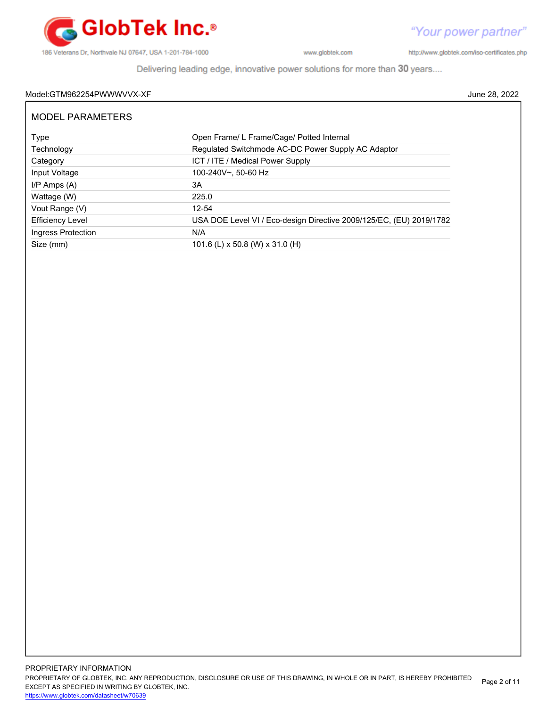

http://www.globtek.com/iso-certificates.php

Delivering leading edge, innovative power solutions for more than 30 years....

### Model:GTM962254PWWWVVX-XF June 28, 2022

| MODEL PARAMETERS        |                                                                     |
|-------------------------|---------------------------------------------------------------------|
| Type                    | Open Frame/L Frame/Cage/ Potted Internal                            |
| Technology              | Regulated Switchmode AC-DC Power Supply AC Adaptor                  |
| Category                | ICT / ITE / Medical Power Supply                                    |
| Input Voltage           | 100-240V~, 50-60 Hz                                                 |
| $I/P$ Amps $(A)$        | 3A                                                                  |
| Wattage (W)             | 225.0                                                               |
| Vout Range (V)          | $12 - 54$                                                           |
| <b>Efficiency Level</b> | USA DOE Level VI / Eco-design Directive 2009/125/EC, (EU) 2019/1782 |
| Ingress Protection      | N/A                                                                 |
| Size (mm)               | 101.6 (L) x 50.8 (W) x 31.0 (H)                                     |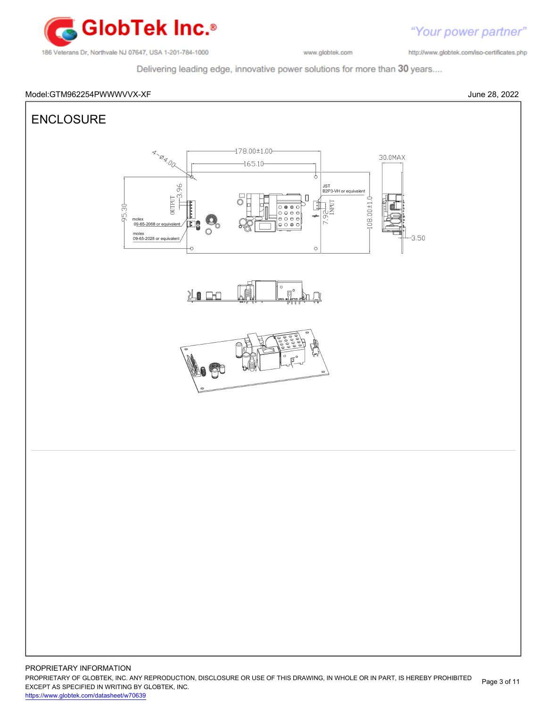

http://www.globtek.com/iso-certificates.php

"Your power partner"

Delivering leading edge, innovative power solutions for more than 30 years....



PROPRIETARY OF GLOBTEK, INC. ANY REPRODUCTION, DISCLOSURE OR USE OF THIS DRAWING, IN WHOLE OR IN PART, IS HEREBY PROHIBITED EXCEPT AS SPECIFIED IN WRITING BY GLOBTEK, INC. Page 3 of 11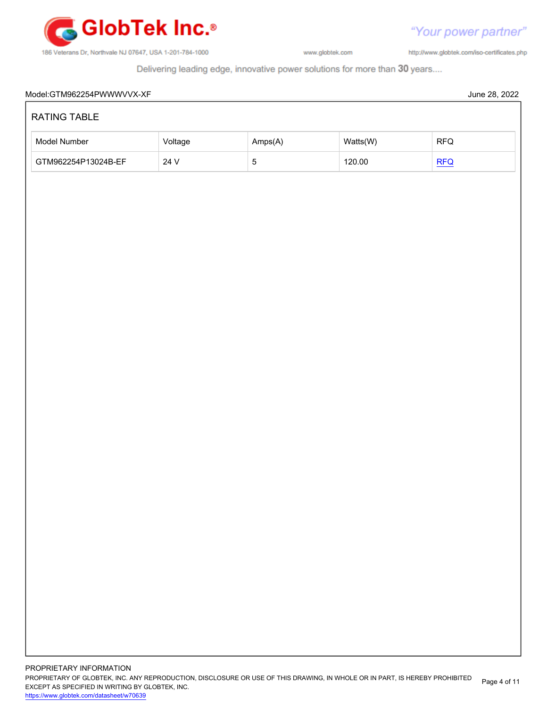

"Your power partner"

http://www.globtek.com/iso-certificates.php

Delivering leading edge, innovative power solutions for more than 30 years....

| Model Number        | Voltage | Amps(A)        | Watts(W) | RFQ |
|---------------------|---------|----------------|----------|-----|
| GTM962254P13024B-EF | 24 V    | $\overline{5}$ | 120.00   | REQ |
|                     |         |                |          |     |
|                     |         |                |          |     |
|                     |         |                |          |     |
|                     |         |                |          |     |
|                     |         |                |          |     |
|                     |         |                |          |     |
|                     |         |                |          |     |
|                     |         |                |          |     |
|                     |         |                |          |     |
|                     |         |                |          |     |
|                     |         |                |          |     |
|                     |         |                |          |     |
|                     |         |                |          |     |
|                     |         |                |          |     |
|                     |         |                |          |     |
|                     |         |                |          |     |
|                     |         |                |          |     |
|                     |         |                |          |     |
|                     |         |                |          |     |
|                     |         |                |          |     |
|                     |         |                |          |     |
|                     |         |                |          |     |
|                     |         |                |          |     |
|                     |         |                |          |     |
|                     |         |                |          |     |
|                     |         |                |          |     |
|                     |         |                |          |     |
|                     |         |                |          |     |
|                     |         |                |          |     |
|                     |         |                |          |     |
|                     |         |                |          |     |
|                     |         |                |          |     |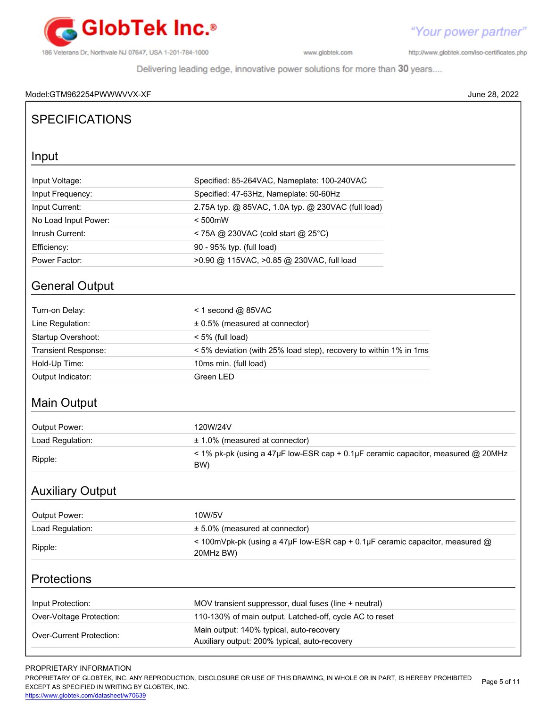

http://www.globtek.com/iso-certificates.php

Delivering leading edge, innovative power solutions for more than 30 years....

### Model:GTM962254PWWWVVX-XF June 28, 2022

# **SPECIFICATIONS**

## Input

# General Output

| Turn-on Delay:             | $<$ 1 second @ 85VAC                                              |
|----------------------------|-------------------------------------------------------------------|
| Line Regulation:           | $\pm$ 0.5% (measured at connector)                                |
| Startup Overshoot:         | $<$ 5% (full load)                                                |
| <b>Transient Response:</b> | < 5% deviation (with 25% load step), recovery to within 1% in 1ms |
| Hold-Up Time:              | 10ms min. (full load)                                             |
| Output Indicator:          | Green LED                                                         |

# Main Output

| Output Power:    | 120W/24V                                                                                    |
|------------------|---------------------------------------------------------------------------------------------|
| Load Regulation: | $± 1.0\%$ (measured at connector)                                                           |
| Ripple:          | $\le$ 1% pk-pk (using a 47µF low-ESR cap + 0.1µF ceramic capacitor, measured @ 20MHz<br>BW) |

# Auxiliary Output

| Output Power:            | 10W/5V                                                                                         |
|--------------------------|------------------------------------------------------------------------------------------------|
| Load Regulation:         | $± 5.0\%$ (measured at connector)                                                              |
| Ripple:                  | $\leq$ 100mVpk-pk (using a 47µF low-ESR cap + 0.1µF ceramic capacitor, measured @<br>20MHz BW) |
| <b>Protections</b>       |                                                                                                |
| Input Protection:        | MOV transient suppressor, dual fuses (line + neutral)                                          |
| Over Voltage Protection: | $110-130\%$ of main output Latched off cycle AC to reset                                       |

| Over-Voltage Protection: | 110-130% of main output. Latched-off, cycle AC to reset                                   |
|--------------------------|-------------------------------------------------------------------------------------------|
| Over-Current Protection: | Main output: 140% typical, auto-recovery<br>Auxiliary output: 200% typical, auto-recovery |
|                          |                                                                                           |

### PROPRIETARY INFORMATION

PROPRIETARY OF GLOBTEK, INC. ANY REPRODUCTION, DISCLOSURE OR USE OF THIS DRAWING, IN WHOLE OR IN PART, IS HEREBY PROHIBITED EXCEPT AS SPECIFIED IN WRITING BY GLOBTEK, INC. Page 5 of 11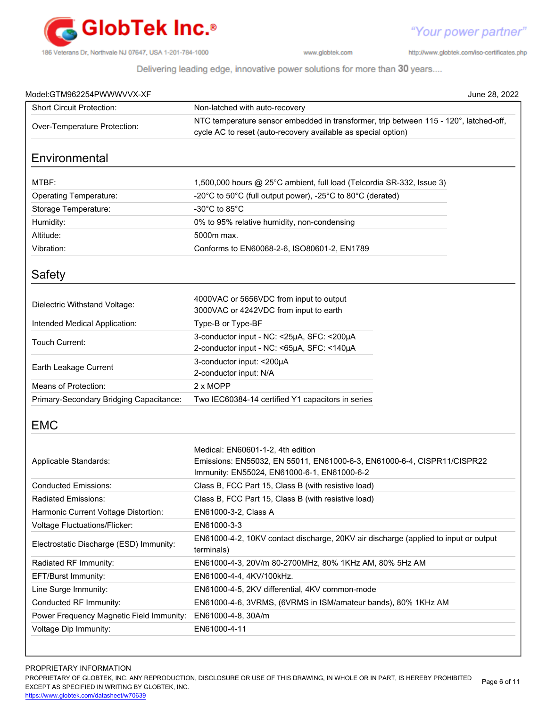

"Your power partner"

http://www.globtek.com/iso-certificates.php

Delivering leading edge, innovative power solutions for more than 30 years....

| Model:GTM962254PWWWVVX-XF                |                                                                                                                                                             | June 28, 2022 |
|------------------------------------------|-------------------------------------------------------------------------------------------------------------------------------------------------------------|---------------|
| <b>Short Circuit Protection:</b>         | Non-latched with auto-recovery                                                                                                                              |               |
| Over-Temperature Protection:             | NTC temperature sensor embedded in transformer, trip between 115 - 120°, latched-off,<br>cycle AC to reset (auto-recovery available as special option)      |               |
| Environmental                            |                                                                                                                                                             |               |
| MTBF:                                    | 1,500,000 hours @ 25°C ambient, full load (Telcordia SR-332, Issue 3)                                                                                       |               |
| <b>Operating Temperature:</b>            | -20°C to 50°C (full output power), -25°C to 80°C (derated)                                                                                                  |               |
| Storage Temperature:                     | -30 $^{\circ}$ C to 85 $^{\circ}$ C                                                                                                                         |               |
| Humidity:                                | 0% to 95% relative humidity, non-condensing                                                                                                                 |               |
| Altitude:                                | 5000m max.                                                                                                                                                  |               |
| Vibration:                               | Conforms to EN60068-2-6, ISO80601-2, EN1789                                                                                                                 |               |
| Safety                                   |                                                                                                                                                             |               |
| Dielectric Withstand Voltage:            | 4000VAC or 5656VDC from input to output<br>3000VAC or 4242VDC from input to earth                                                                           |               |
| Intended Medical Application:            | Type-B or Type-BF                                                                                                                                           |               |
| Touch Current:                           | 3-conductor input - NC: <25µA, SFC: <200µA<br>2-conductor input - NC: <65µA, SFC: <140µA                                                                    |               |
| Earth Leakage Current                    | 3-conductor input: < 200µA<br>2-conductor input: N/A                                                                                                        |               |
| Means of Protection:                     | 2 x MOPP                                                                                                                                                    |               |
| Primary-Secondary Bridging Capacitance:  | Two IEC60384-14 certified Y1 capacitors in series                                                                                                           |               |
| <b>EMC</b>                               |                                                                                                                                                             |               |
| Applicable Standards:                    | Medical: EN60601-1-2, 4th edition<br>Emissions: EN55032, EN 55011, EN61000-6-3, EN61000-6-4, CISPR11/CISPR22<br>Immunity: EN55024, EN61000-6-1, EN61000-6-2 |               |
| Conducted Emissions:                     | Class B, FCC Part 15, Class B (with resistive load)                                                                                                         |               |
| Radiated Emissions:                      | Class B, FCC Part 15, Class B (with resistive load)                                                                                                         |               |
| Harmonic Current Voltage Distortion:     | EN61000-3-2, Class A                                                                                                                                        |               |
| Voltage Fluctuations/Flicker:            | EN61000-3-3                                                                                                                                                 |               |
| Electrostatic Discharge (ESD) Immunity:  | EN61000-4-2, 10KV contact discharge, 20KV air discharge (applied to input or output<br>terminals)                                                           |               |
| Radiated RF Immunity:                    | EN61000-4-3, 20V/m 80-2700MHz, 80% 1KHz AM, 80% 5Hz AM                                                                                                      |               |
| EFT/Burst Immunity:                      | EN61000-4-4, 4KV/100kHz.                                                                                                                                    |               |
| Line Surge Immunity:                     | EN61000-4-5, 2KV differential, 4KV common-mode                                                                                                              |               |
| Conducted RF Immunity:                   | EN61000-4-6, 3VRMS, (6VRMS in ISM/amateur bands), 80% 1KHz AM                                                                                               |               |
| Power Frequency Magnetic Field Immunity: | EN61000-4-8, 30A/m                                                                                                                                          |               |
| Voltage Dip Immunity:                    | EN61000-4-11                                                                                                                                                |               |

#### PROPRIETARY INFORMATION

PROPRIETARY OF GLOBTEK, INC. ANY REPRODUCTION, DISCLOSURE OR USE OF THIS DRAWING, IN WHOLE OR IN PART, IS HEREBY PROHIBITED EXCEPT AS SPECIFIED IN WRITING BY GLOBTEK, INC. Page 6 of 11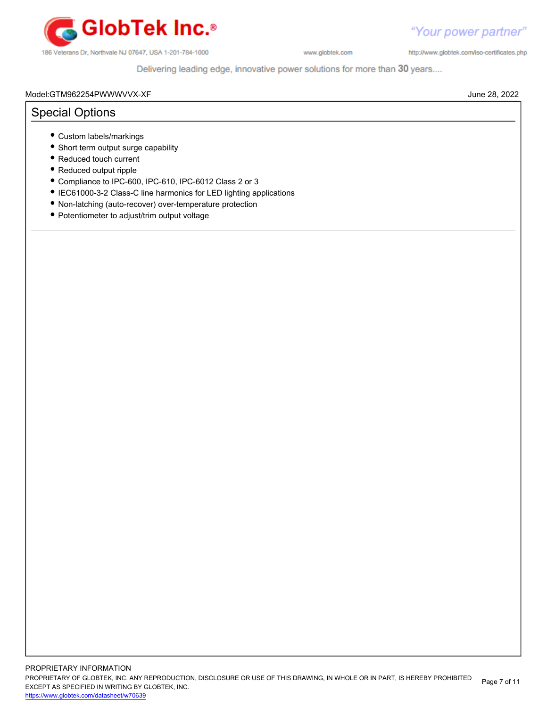

http://www.globtek.com/iso-certificates.php

Delivering leading edge, innovative power solutions for more than 30 years....

#### Model:GTM962254PWWWVVX-XF June 28, 2022

# Special Options

- Custom labels/markings
- Short term output surge capability
- Reduced touch current
- Reduced output ripple
- Compliance to IPC-600, IPC-610, IPC-6012 Class 2 or 3
- IEC61000-3-2 Class-C line harmonics for LED lighting applications
- Non-latching (auto-recover) over-temperature protection
- Potentiometer to adjust/trim output voltage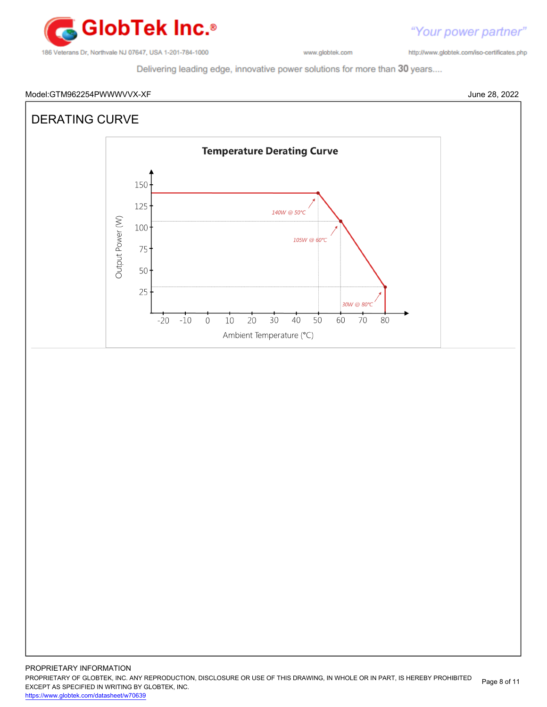

http://www.globtek.com/iso-certificates.php

Delivering leading edge, innovative power solutions for more than 30 years....

#### Model:GTM962254PWWWVVX-XF June 28, 2022



"Your power partner"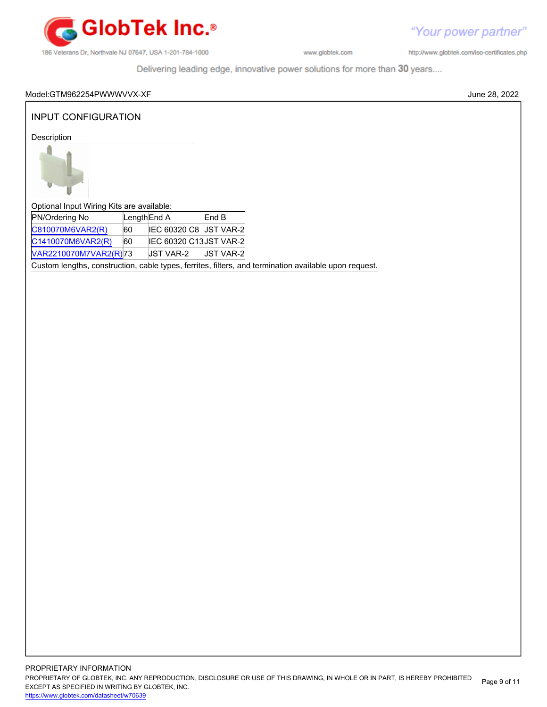

http://www.globtek.com/iso-certificates.php

Delivering leading edge, innovative power solutions for more than 30 years....

### Model:GTM962254PWWWVVX-XF June 28, 2022

## INPUT CONFIGURATION

Description



Optional Input Wiring Kits are available:

| PN/Ordering No        | Length End A |                  | End B                   |
|-----------------------|--------------|------------------|-------------------------|
| C810070M6VAR2(R)      | 60           |                  | IEC 60320 C8 UST VAR-2  |
| C1410070M6VAR2(R)     | 60           |                  | IEC 60320 C13 JST VAR-2 |
| VAR2210070M7VAR2(R)73 |              | <b>JST VAR-2</b> | <b>JST VAR-2</b>        |

Custom lengths, construction, cable types, ferrites, filters, and termination available upon request.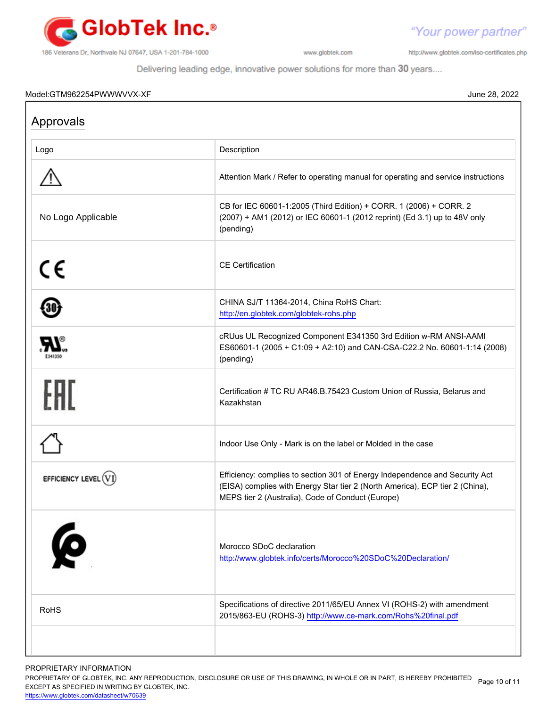

http://www.globtek.com/iso-certificates.php

"Your power partner"

Delivering leading edge, innovative power solutions for more than 30 years....

#### Model:GTM962254PWWWVVX-XF June 28, 2022

Г

| Approvals           |                                                                                                                                                                                                                  |
|---------------------|------------------------------------------------------------------------------------------------------------------------------------------------------------------------------------------------------------------|
| Logo                | Description                                                                                                                                                                                                      |
|                     | Attention Mark / Refer to operating manual for operating and service instructions                                                                                                                                |
| No Logo Applicable  | CB for IEC 60601-1:2005 (Third Edition) + CORR. 1 (2006) + CORR. 2<br>(2007) + AM1 (2012) or IEC 60601-1 (2012 reprint) (Ed 3.1) up to 48V only<br>(pending)                                                     |
| CE                  | <b>CE</b> Certification                                                                                                                                                                                          |
|                     | CHINA SJ/T 11364-2014, China RoHS Chart:<br>http://en.globtek.com/globtek-rohs.php                                                                                                                               |
| E341350             | cRUus UL Recognized Component E341350 3rd Edition w-RM ANSI-AAMI<br>ES60601-1 (2005 + C1:09 + A2:10) and CAN-CSA-C22.2 No. 60601-1:14 (2008)<br>(pending)                                                        |
| ŀНI                 | Certification # TC RU AR46.B.75423 Custom Union of Russia, Belarus and<br>Kazakhstan                                                                                                                             |
|                     | Indoor Use Only - Mark is on the label or Molded in the case                                                                                                                                                     |
| EFFICIENCY LEVEL (V | Efficiency: complies to section 301 of Energy Independence and Security Act<br>(EISA) complies with Energy Star tier 2 (North America), ECP tier 2 (China),<br>MEPS tier 2 (Australia), Code of Conduct (Europe) |
| 6                   | Morocco SDoC declaration<br>http://www.globtek.info/certs/Morocco%20SDoC%20Declaration/                                                                                                                          |
| <b>RoHS</b>         | Specifications of directive 2011/65/EU Annex VI (ROHS-2) with amendment<br>2015/863-EU (ROHS-3) http://www.ce-mark.com/Rohs%20final.pdf                                                                          |
|                     |                                                                                                                                                                                                                  |

PROPRIETARY INFORMATION

PROPRIETARY OF GLOBTEK, INC. ANY REPRODUCTION, DISCLOSURE OR USE OF THIS DRAWING, IN WHOLE OR IN PART, IS HEREBY PROHIBITED Page 10 of 11<br>EXALER 10 OREGIEIER WILKENIG BY OLOREEK WO EXCEPT AS SPECIFIED IN WRITING BY GLOBTEK, INC.